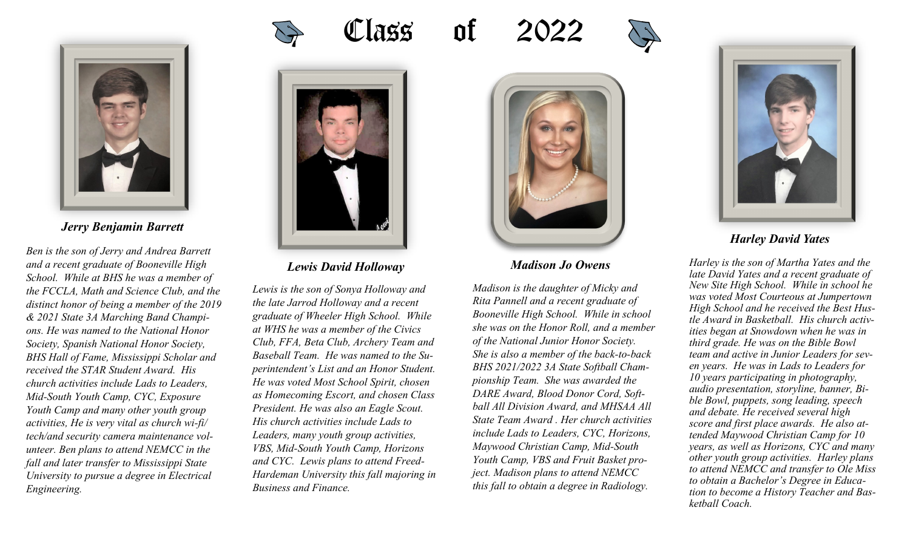

*Jerry Benjamin Barrett*

*Ben is the son of Jerry and Andrea Barrett and a recent graduate of Booneville High School. While at BHS he was a member of the FCCLA, Math and Science Club, and the distinct honor of being a member of the 2019 & 2021 State 3A Marching Band Champions. He was named to the National Honor Society, Spanish National Honor Society, BHS Hall of Fame, Mississippi Scholar and received the STAR Student Award. His church activities include Lads to Leaders, Mid-South Youth Camp, CYC, Exposure Youth Camp and many other youth group activities, He is very vital as church wi-fi/ tech/and security camera maintenance volunteer. Ben plans to attend NEMCC in the fall and later transfer to Mississippi State University to pursue a degree in Electrical Engineering.* 









*Lewis David Holloway* 

*Lewis is the son of Sonya Holloway and the late Jarrod Holloway and a recent graduate of Wheeler High School. While at WHS he was a member of the Civics Club, FFA, Beta Club, Archery Team and Baseball Team. He was named to the Superintendent's List and an Honor Student. He was voted Most School Spirit, chosen as Homecoming Escort, and chosen Class President. He was also an Eagle Scout. His church activities include Lads to Leaders, many youth group activities, VBS, Mid-South Youth Camp, Horizons and CYC. Lewis plans to attend Freed-Hardeman University this fall majoring in Business and Finance.* 



## *Madison Jo Owens*

*Madison is the daughter of Micky and Rita Pannell and a recent graduate of Booneville High School. While in school she was on the Honor Roll, and a member of the National Junior Honor Society. She is also a member of the back-to-back BHS 2021/2022 3A State Softball Championship Team. She was awarded the DARE Award, Blood Donor Cord, Softball All Division Award, and MHSAA All State Team Award . Her church activities include Lads to Leaders, CYC, Horizons, Maywood Christian Camp, Mid-South Youth Camp, VBS and Fruit Basket project. Madison plans to attend NEMCC this fall to obtain a degree in Radiology.* 



*Harley is the son of Martha Yates and the late David Yates and a recent graduate of New Site High School. While in school he was voted Most Courteous at Jumpertown High School and he received the Best Hustle Award in Basketball. His church activities began at Snowdown when he was in third grade. He was on the Bible Bowl team and active in Junior Leaders for seven years. He was in Lads to Leaders for 10 years participating in photography, audio presentation, storyline, banner, Bible Bowl, puppets, song leading, speech and debate. He received several high score and first place awards. He also attended Maywood Christian Camp for 10 years, as well as Horizons, CYC and many other youth group activities. Harley plans to attend NEMCC and transfer to Ole Miss to obtain a Bachelor's Degree in Education to become a History Teacher and Basketball Coach.*